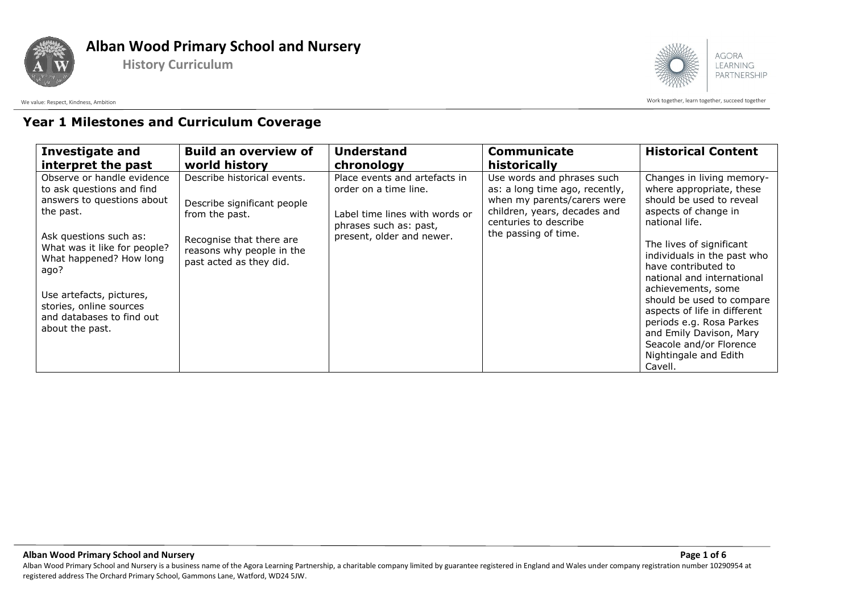





Work together, learn together, learn together, succeed together auch and together and the work together, learn together, succeed together

## **Year 1 Milestones and Curriculum Coverage**

| <b>Investigate and</b>                                                                                                                                                                                                                                                                                 | <b>Build an overview of</b>                                                                                                                                      | <b>Understand</b>                                                                                                                               | <b>Communicate</b>                                                                                                                                                           | <b>Historical Content</b>                                                                                                                                                                                                                                                                                                                                                                                                                            |
|--------------------------------------------------------------------------------------------------------------------------------------------------------------------------------------------------------------------------------------------------------------------------------------------------------|------------------------------------------------------------------------------------------------------------------------------------------------------------------|-------------------------------------------------------------------------------------------------------------------------------------------------|------------------------------------------------------------------------------------------------------------------------------------------------------------------------------|------------------------------------------------------------------------------------------------------------------------------------------------------------------------------------------------------------------------------------------------------------------------------------------------------------------------------------------------------------------------------------------------------------------------------------------------------|
| interpret the past                                                                                                                                                                                                                                                                                     | world history                                                                                                                                                    | chronology                                                                                                                                      | historically                                                                                                                                                                 |                                                                                                                                                                                                                                                                                                                                                                                                                                                      |
| Observe or handle evidence<br>to ask questions and find<br>answers to questions about<br>the past.<br>Ask questions such as:<br>What was it like for people?<br>What happened? How long<br>ago?<br>Use artefacts, pictures,<br>stories, online sources<br>and databases to find out<br>about the past. | Describe historical events.<br>Describe significant people<br>from the past.<br>Recognise that there are<br>reasons why people in the<br>past acted as they did. | Place events and artefacts in<br>order on a time line.<br>Label time lines with words or<br>phrases such as: past,<br>present, older and newer. | Use words and phrases such<br>as: a long time ago, recently,<br>when my parents/carers were<br>children, years, decades and<br>centuries to describe<br>the passing of time. | Changes in living memory-<br>where appropriate, these<br>should be used to reveal<br>aspects of change in<br>national life.<br>The lives of significant<br>individuals in the past who<br>have contributed to<br>national and international<br>achievements, some<br>should be used to compare<br>aspects of life in different<br>periods e.g. Rosa Parkes<br>and Emily Davison, Mary<br>Seacole and/or Florence<br>Nightingale and Edith<br>Cavell. |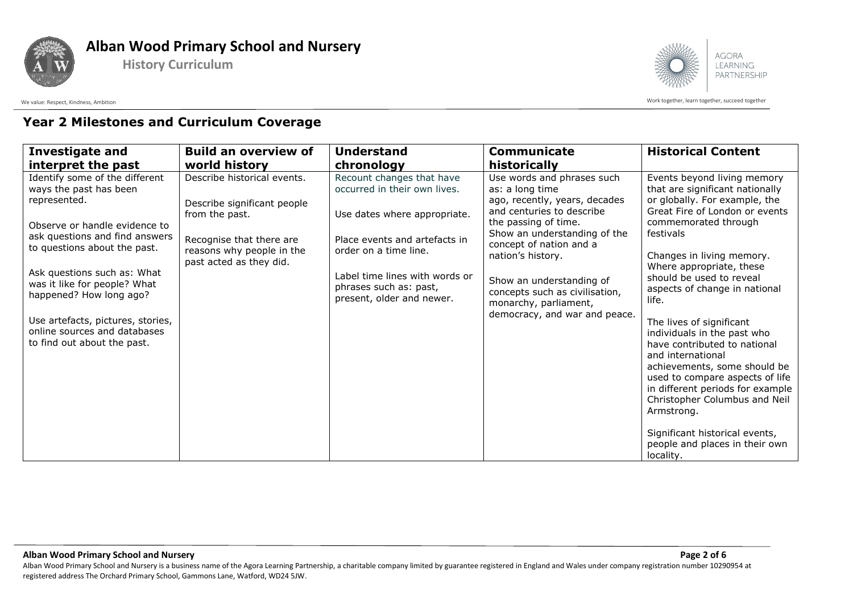

**History Curriculum**



Work together, learn together, learn together, succeed together auch and together and the work together, learn together, succeed together

## **Year 2 Milestones and Curriculum Coverage**

| <b>Investigate and</b>                                                                                                                                                                                                                                                                                                                                                    | <b>Build an overview of</b>                                                                                                                                      | <b>Understand</b>                                                                                                                                                                                                                            | Communicate                                                                                                                                                                                                                                                                                                                                 | <b>Historical Content</b>                                                                                                                                                                                                                                                                                                                                                                                                                                                                                                                                                                                     |
|---------------------------------------------------------------------------------------------------------------------------------------------------------------------------------------------------------------------------------------------------------------------------------------------------------------------------------------------------------------------------|------------------------------------------------------------------------------------------------------------------------------------------------------------------|----------------------------------------------------------------------------------------------------------------------------------------------------------------------------------------------------------------------------------------------|---------------------------------------------------------------------------------------------------------------------------------------------------------------------------------------------------------------------------------------------------------------------------------------------------------------------------------------------|---------------------------------------------------------------------------------------------------------------------------------------------------------------------------------------------------------------------------------------------------------------------------------------------------------------------------------------------------------------------------------------------------------------------------------------------------------------------------------------------------------------------------------------------------------------------------------------------------------------|
| interpret the past                                                                                                                                                                                                                                                                                                                                                        | world history                                                                                                                                                    | chronology                                                                                                                                                                                                                                   | historically                                                                                                                                                                                                                                                                                                                                |                                                                                                                                                                                                                                                                                                                                                                                                                                                                                                                                                                                                               |
| Identify some of the different<br>ways the past has been<br>represented.<br>Observe or handle evidence to<br>ask questions and find answers<br>to questions about the past.<br>Ask questions such as: What<br>was it like for people? What<br>happened? How long ago?<br>Use artefacts, pictures, stories,<br>online sources and databases<br>to find out about the past. | Describe historical events.<br>Describe significant people<br>from the past.<br>Recognise that there are<br>reasons why people in the<br>past acted as they did. | Recount changes that have<br>occurred in their own lives.<br>Use dates where appropriate.<br>Place events and artefacts in<br>order on a time line.<br>Label time lines with words or<br>phrases such as: past,<br>present, older and newer. | Use words and phrases such<br>as: a long time<br>ago, recently, years, decades<br>and centuries to describe<br>the passing of time.<br>Show an understanding of the<br>concept of nation and a<br>nation's history.<br>Show an understanding of<br>concepts such as civilisation,<br>monarchy, parliament,<br>democracy, and war and peace. | Events beyond living memory<br>that are significant nationally<br>or globally. For example, the<br>Great Fire of London or events<br>commemorated through<br>festivals<br>Changes in living memory.<br>Where appropriate, these<br>should be used to reveal<br>aspects of change in national<br>life.<br>The lives of significant<br>individuals in the past who<br>have contributed to national<br>and international<br>achievements, some should be<br>used to compare aspects of life<br>in different periods for example<br>Christopher Columbus and Neil<br>Armstrong.<br>Significant historical events, |
|                                                                                                                                                                                                                                                                                                                                                                           |                                                                                                                                                                  |                                                                                                                                                                                                                                              |                                                                                                                                                                                                                                                                                                                                             | people and places in their own<br>locality.                                                                                                                                                                                                                                                                                                                                                                                                                                                                                                                                                                   |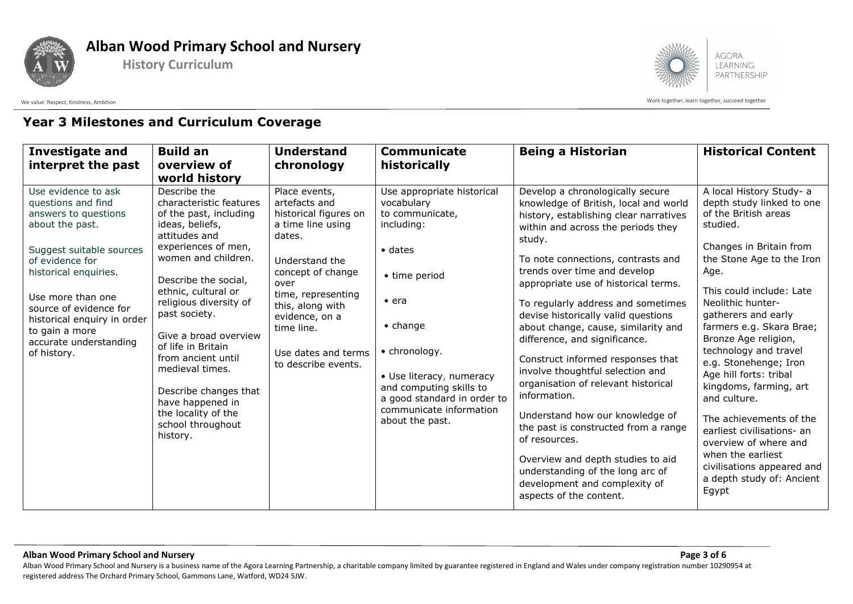





Work together, learn together, learn together, succeed together auch and together and the work together, learn together, succeed together

## **Year 3 Milestones and Curriculum Coverage**

| <b>Investigate and</b><br>interpret the past                                                                                                                                                                                                                                                          | <b>Build an</b><br>overview of                                                                                                                                                                                                                                                                                                                                                                                                                              | <b>Understand</b><br>chronology                                                                                                                                                                                                                               | <b>Communicate</b><br>historically                                                                                                                                                                                                                                                                      | <b>Being a Historian</b>                                                                                                                                                                                                                                                                                                                                                                                                                                                                                                                                                                                                                                                                                                                                                                                | <b>Historical Content</b>                                                                                                                                                                                                                                                                                                                                                                                                                                                                                                                                                              |
|-------------------------------------------------------------------------------------------------------------------------------------------------------------------------------------------------------------------------------------------------------------------------------------------------------|-------------------------------------------------------------------------------------------------------------------------------------------------------------------------------------------------------------------------------------------------------------------------------------------------------------------------------------------------------------------------------------------------------------------------------------------------------------|---------------------------------------------------------------------------------------------------------------------------------------------------------------------------------------------------------------------------------------------------------------|---------------------------------------------------------------------------------------------------------------------------------------------------------------------------------------------------------------------------------------------------------------------------------------------------------|---------------------------------------------------------------------------------------------------------------------------------------------------------------------------------------------------------------------------------------------------------------------------------------------------------------------------------------------------------------------------------------------------------------------------------------------------------------------------------------------------------------------------------------------------------------------------------------------------------------------------------------------------------------------------------------------------------------------------------------------------------------------------------------------------------|----------------------------------------------------------------------------------------------------------------------------------------------------------------------------------------------------------------------------------------------------------------------------------------------------------------------------------------------------------------------------------------------------------------------------------------------------------------------------------------------------------------------------------------------------------------------------------------|
| Use evidence to ask<br>questions and find<br>answers to questions<br>about the past.<br>Suggest suitable sources<br>of evidence for<br>historical enquiries.<br>Use more than one<br>source of evidence for<br>historical enquiry in order<br>to gain a more<br>accurate understanding<br>of history. | world history<br>Describe the<br>characteristic features<br>of the past, including<br>ideas, beliefs,<br>attitudes and<br>experiences of men,<br>women and children.<br>Describe the social,<br>ethnic, cultural or<br>religious diversity of<br>past society.<br>Give a broad overview<br>of life in Britain<br>from ancient until<br>medieval times.<br>Describe changes that<br>have happened in<br>the locality of the<br>school throughout<br>history. | Place events,<br>artefacts and<br>historical figures on<br>a time line using<br>dates.<br>Understand the<br>concept of change<br>over<br>time, representing<br>this, along with<br>evidence, on a<br>time line.<br>Use dates and terms<br>to describe events. | Use appropriate historical<br>vocabulary<br>to communicate,<br>including:<br>$\bullet$ dates<br>• time period<br>$\bullet$ era<br>$\bullet$ change<br>• chronology.<br>• Use literacy, numeracy<br>and computing skills to<br>a good standard in order to<br>communicate information<br>about the past. | Develop a chronologically secure<br>knowledge of British, local and world<br>history, establishing clear narratives<br>within and across the periods they<br>study.<br>To note connections, contrasts and<br>trends over time and develop<br>appropriate use of historical terms.<br>To regularly address and sometimes<br>devise historically valid questions<br>about change, cause, similarity and<br>difference, and significance.<br>Construct informed responses that<br>involve thoughtful selection and<br>organisation of relevant historical<br>information.<br>Understand how our knowledge of<br>the past is constructed from a range<br>of resources.<br>Overview and depth studies to aid<br>understanding of the long arc of<br>development and complexity of<br>aspects of the content. | A local History Study- a<br>depth study linked to one<br>of the British areas<br>studied.<br>Changes in Britain from<br>the Stone Age to the Iron<br>Age.<br>This could include: Late<br>Neolithic hunter-<br>gatherers and early<br>farmers e.g. Skara Brae;<br>Bronze Age religion,<br>technology and travel<br>e.g. Stonehenge; Iron<br>Age hill forts: tribal<br>kingdoms, farming, art<br>and culture.<br>The achievements of the<br>earliest civilisations- an<br>overview of where and<br>when the earliest<br>civilisations appeared and<br>a depth study of: Ancient<br>Egypt |

**Alban Wood Primary School and Nursery Page 3 of 6** Alban Wood Primary School and Nursery is a business name of the Agora Learning Partnership, a charitable company limited by guarantee registered in England and Wales under company registration number 10290954 at registered address The Orchard Primary School, Gammons Lane, Watford, WD24 5JW.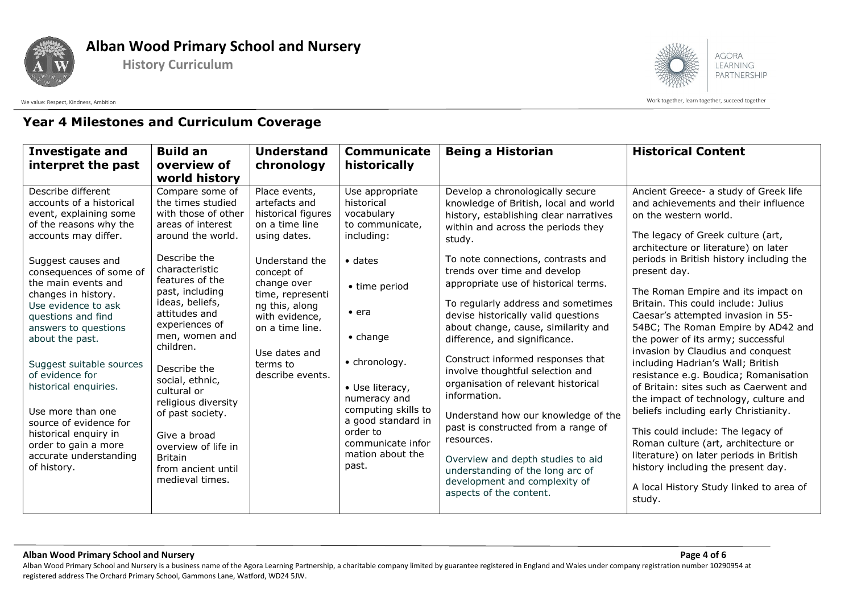





Work together, learn together, learn together, succeed together auch and together and the work together, learn together, succeed together

#### **Year 4 Milestones and Curriculum Coverage**

| <b>Investigate and</b><br>interpret the past                                                                                                                                                                                                                                                                                                                                                                                                                                                                                       | <b>Build an</b><br>overview of<br>world history                                                                                                                                                                                                                                                                                                                                                                                                                   | <b>Understand</b><br>chronology                                                                                                                                                                                                                                   | <b>Communicate</b><br>historically                                                                                                                                                                                                                                                                                   | <b>Being a Historian</b>                                                                                                                                                                                                                                                                                                                                                                                                                                                                                                                                                                                                                                                                                                                                                                                | <b>Historical Content</b>                                                                                                                                                                                                                                                                                                                                                                                                                                                                                                                                                                                                                                                                                                                                                                                                                                                                                      |
|------------------------------------------------------------------------------------------------------------------------------------------------------------------------------------------------------------------------------------------------------------------------------------------------------------------------------------------------------------------------------------------------------------------------------------------------------------------------------------------------------------------------------------|-------------------------------------------------------------------------------------------------------------------------------------------------------------------------------------------------------------------------------------------------------------------------------------------------------------------------------------------------------------------------------------------------------------------------------------------------------------------|-------------------------------------------------------------------------------------------------------------------------------------------------------------------------------------------------------------------------------------------------------------------|----------------------------------------------------------------------------------------------------------------------------------------------------------------------------------------------------------------------------------------------------------------------------------------------------------------------|---------------------------------------------------------------------------------------------------------------------------------------------------------------------------------------------------------------------------------------------------------------------------------------------------------------------------------------------------------------------------------------------------------------------------------------------------------------------------------------------------------------------------------------------------------------------------------------------------------------------------------------------------------------------------------------------------------------------------------------------------------------------------------------------------------|----------------------------------------------------------------------------------------------------------------------------------------------------------------------------------------------------------------------------------------------------------------------------------------------------------------------------------------------------------------------------------------------------------------------------------------------------------------------------------------------------------------------------------------------------------------------------------------------------------------------------------------------------------------------------------------------------------------------------------------------------------------------------------------------------------------------------------------------------------------------------------------------------------------|
| Describe different<br>accounts of a historical<br>event, explaining some<br>of the reasons why the<br>accounts may differ.<br>Suggest causes and<br>consequences of some of<br>the main events and<br>changes in history.<br>Use evidence to ask<br>questions and find<br>answers to questions<br>about the past.<br>Suggest suitable sources<br>of evidence for<br>historical enquiries.<br>Use more than one<br>source of evidence for<br>historical enquiry in<br>order to gain a more<br>accurate understanding<br>of history. | Compare some of<br>the times studied<br>with those of other<br>areas of interest<br>around the world.<br>Describe the<br>characteristic<br>features of the<br>past, including<br>ideas, beliefs,<br>attitudes and<br>experiences of<br>men, women and<br>children.<br>Describe the<br>social, ethnic,<br>cultural or<br>religious diversity<br>of past society.<br>Give a broad<br>overview of life in<br><b>Britain</b><br>from ancient until<br>medieval times. | Place events,<br>artefacts and<br>historical figures<br>on a time line<br>using dates.<br>Understand the<br>concept of<br>change over<br>time, representi<br>ng this, along<br>with evidence,<br>on a time line.<br>Use dates and<br>terms to<br>describe events. | Use appropriate<br>historical<br>vocabulary<br>to communicate,<br>including:<br>$\bullet$ dates<br>• time period<br>$\bullet$ era<br>$\bullet$ change<br>• chronology.<br>· Use literacy,<br>numeracy and<br>computing skills to<br>a good standard in<br>order to<br>communicate infor<br>mation about the<br>past. | Develop a chronologically secure<br>knowledge of British, local and world<br>history, establishing clear narratives<br>within and across the periods they<br>study.<br>To note connections, contrasts and<br>trends over time and develop<br>appropriate use of historical terms.<br>To regularly address and sometimes<br>devise historically valid questions<br>about change, cause, similarity and<br>difference, and significance.<br>Construct informed responses that<br>involve thoughtful selection and<br>organisation of relevant historical<br>information.<br>Understand how our knowledge of the<br>past is constructed from a range of<br>resources.<br>Overview and depth studies to aid<br>understanding of the long arc of<br>development and complexity of<br>aspects of the content. | Ancient Greece- a study of Greek life<br>and achievements and their influence<br>on the western world.<br>The legacy of Greek culture (art,<br>architecture or literature) on later<br>periods in British history including the<br>present day.<br>The Roman Empire and its impact on<br>Britain. This could include: Julius<br>Caesar's attempted invasion in 55-<br>54BC; The Roman Empire by AD42 and<br>the power of its army; successful<br>invasion by Claudius and conquest<br>including Hadrian's Wall; British<br>resistance e.g. Boudica; Romanisation<br>of Britain: sites such as Caerwent and<br>the impact of technology, culture and<br>beliefs including early Christianity.<br>This could include: The legacy of<br>Roman culture (art, architecture or<br>literature) on later periods in British<br>history including the present day.<br>A local History Study linked to area of<br>study. |

**Alban Wood Primary School and Nursery Page 4 of 6**

Alban Wood Primary School and Nursery is a business name of the Agora Learning Partnership, a charitable company limited by guarantee registered in England and Wales under company registration number 10290954 at registered address The Orchard Primary School, Gammons Lane, Watford, WD24 5JW.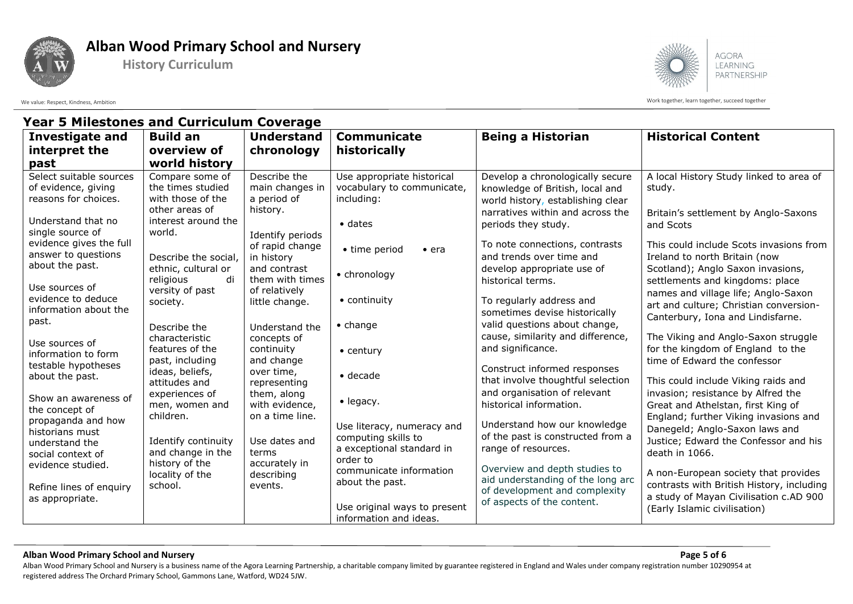

## **Alban Wood Primary School and Nursery**

**History Curriculum**



Work together, learn together, learn together, succeed together auch and together and the work together, learn together, succeed together

## **Year 5 Milestones and Curriculum Coverage**

| <b>Investigate and</b><br>interpret the<br>past                                          | <b>Build an</b><br>overview of<br>world history                                   | <b>Understand</b><br>chronology                                | <b>Communicate</b><br>historically                                        | <b>Being a Historian</b>                                                                                                                     | <b>Historical Content</b>                                                                                                                              |
|------------------------------------------------------------------------------------------|-----------------------------------------------------------------------------------|----------------------------------------------------------------|---------------------------------------------------------------------------|----------------------------------------------------------------------------------------------------------------------------------------------|--------------------------------------------------------------------------------------------------------------------------------------------------------|
| Select suitable sources<br>of evidence, giving<br>reasons for choices.                   | Compare some of<br>the times studied<br>with those of the<br>other areas of       | Describe the<br>main changes in<br>a period of<br>history.     | Use appropriate historical<br>vocabulary to communicate,<br>including:    | Develop a chronologically secure<br>knowledge of British, local and<br>world history, establishing clear<br>narratives within and across the | A local History Study linked to area of<br>study.<br>Britain's settlement by Anglo-Saxons                                                              |
| Understand that no<br>single source of<br>evidence gives the full<br>answer to questions | interest around the<br>world.                                                     | Identify periods<br>of rapid change                            | $\bullet$ dates<br>• time period<br>$\bullet$ era                         | periods they study.<br>To note connections, contrasts                                                                                        | and Scots<br>This could include Scots invasions from                                                                                                   |
| about the past.<br>Use sources of                                                        | Describe the social,<br>ethnic, cultural or<br>di<br>religious<br>versity of past | in history<br>and contrast<br>them with times<br>of relatively | • chronology                                                              | and trends over time and<br>develop appropriate use of<br>historical terms.                                                                  | Ireland to north Britain (now<br>Scotland); Anglo Saxon invasions,<br>settlements and kingdoms: place                                                  |
| evidence to deduce<br>information about the<br>past.                                     | society.<br>Describe the                                                          | little change.<br>Understand the                               | • continuity<br>$\bullet$ change                                          | To regularly address and<br>sometimes devise historically<br>valid questions about change,                                                   | names and village life; Anglo-Saxon<br>art and culture; Christian conversion-<br>Canterbury, Iona and Lindisfarne.                                     |
| Use sources of<br>information to form<br>testable hypotheses                             | characteristic<br>features of the<br>past, including                              | concepts of<br>continuity<br>and change                        | $\bullet$ century                                                         | cause, similarity and difference,<br>and significance.<br>Construct informed responses                                                       | The Viking and Anglo-Saxon struggle<br>for the kingdom of England to the<br>time of Edward the confessor                                               |
| about the past.<br>Show an awareness of                                                  | ideas, beliefs,<br>attitudes and<br>experiences of                                | over time,<br>representing<br>them, along                      | $\bullet$ decade                                                          | that involve thoughtful selection<br>and organisation of relevant                                                                            | This could include Viking raids and<br>invasion; resistance by Alfred the                                                                              |
| the concept of<br>propaganda and how<br>historians must<br>understand the                | men, women and<br>children.<br>Identify continuity                                | with evidence,<br>on a time line.<br>Use dates and             | $\bullet$ legacy.<br>Use literacy, numeracy and<br>computing skills to    | historical information.<br>Understand how our knowledge<br>of the past is constructed from a                                                 | Great and Athelstan, first King of<br>England; further Viking invasions and<br>Danegeld; Anglo-Saxon laws and<br>Justice; Edward the Confessor and his |
| social context of<br>evidence studied.                                                   | and change in the<br>history of the<br>locality of the                            | terms<br>accurately in<br>describing                           | a exceptional standard in<br>order to<br>communicate information          | range of resources.<br>Overview and depth studies to<br>aid understanding of the long arc                                                    | death in 1066.<br>A non-European society that provides                                                                                                 |
| Refine lines of enquiry<br>as appropriate.                                               | school.                                                                           | events.                                                        | about the past.<br>Use original ways to present<br>information and ideas. | of development and complexity<br>of aspects of the content.                                                                                  | contrasts with British History, including<br>a study of Mayan Civilisation c.AD 900<br>(Early Islamic civilisation)                                    |

#### **Alban Wood Primary School and Nursery Page 5 of 6**

Alban Wood Primary School and Nursery is a business name of the Agora Learning Partnership, a charitable company limited by guarantee registered in England and Wales under company registration number 10290954 at registered address The Orchard Primary School, Gammons Lane, Watford, WD24 5JW.